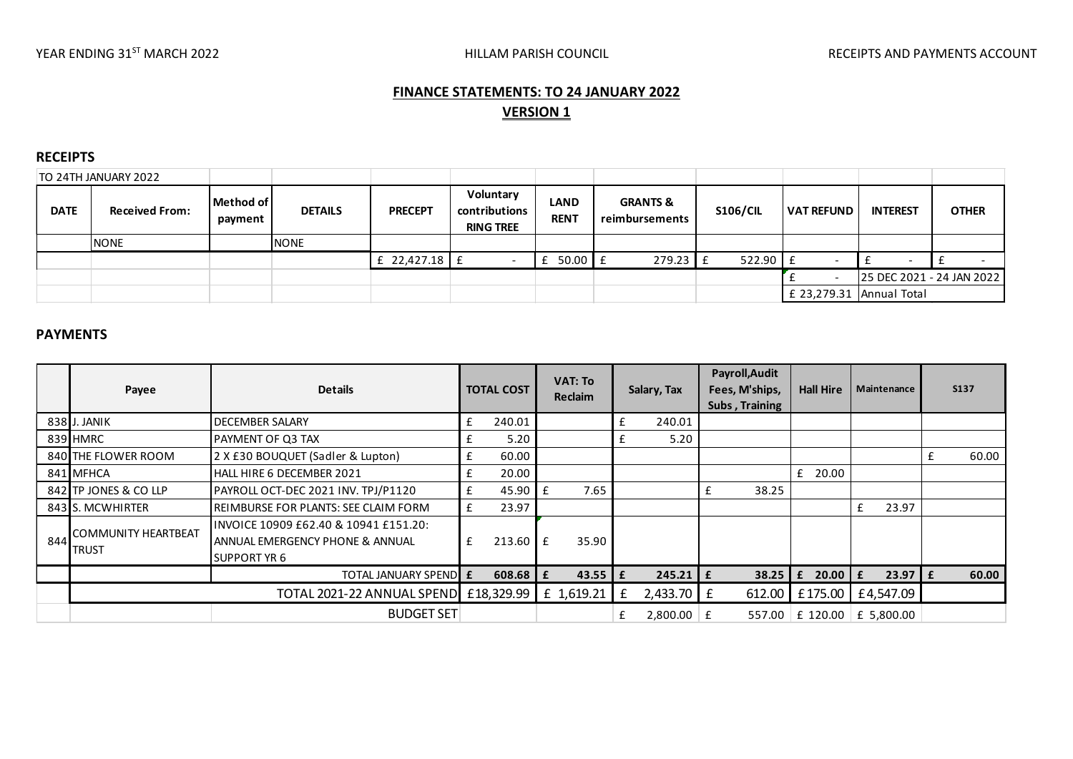# **FINANCE STATEMENTS: TO 24 JANUARY 2022 VERSION 1**

## **RECEIPTS**

| TO 24TH JANUARY 2022 |                       |                      |                |                 |                                                |                            |                                       |                 |                            |                           |              |
|----------------------|-----------------------|----------------------|----------------|-----------------|------------------------------------------------|----------------------------|---------------------------------------|-----------------|----------------------------|---------------------------|--------------|
| <b>DATE</b>          | <b>Received From:</b> | Method of<br>payment | <b>DETAILS</b> | <b>PRECEPT</b>  | Voluntary<br>contributions<br><b>RING TREE</b> | <b>LAND</b><br><b>RENT</b> | <b>GRANTS &amp;</b><br>reimbursements | <b>S106/CIL</b> | <b>VAT REFUND</b>          | <b>INTEREST</b>           | <b>OTHER</b> |
|                      | <b>NONE</b>           |                      | <b>NONE</b>    |                 |                                                |                            |                                       |                 |                            |                           |              |
|                      |                       |                      |                | £ 22,427.18 $E$ |                                                | $50.00$   £                | $279.23$ $E$                          | $522.90$ $E$    |                            |                           |              |
|                      |                       |                      |                |                 |                                                |                            |                                       |                 |                            | 25 DEC 2021 - 24 JAN 2022 |              |
|                      |                       |                      |                |                 |                                                |                            |                                       |                 | £ 23,279.31   Annual Total |                           |              |
|                      |                       |                      |                |                 |                                                |                            |                                       |                 |                            |                           |              |
| ----------           |                       |                      |                |                 |                                                |                            |                                       |                 |                            |                           |              |

# **PAYMENTS**

|     | Payee                                                        | <b>Details</b>                                                                                  |   | <b>TOTAL COST</b> |              | <b>VAT: To</b><br>Reclaim |   | Salary, Tax     |   | Payroll, Audit<br>Fees, M'ships,<br>Subs, Training | <b>Hall Hire</b>  |   | Maintenance |   | <b>S137</b> |
|-----|--------------------------------------------------------------|-------------------------------------------------------------------------------------------------|---|-------------------|--------------|---------------------------|---|-----------------|---|----------------------------------------------------|-------------------|---|-------------|---|-------------|
|     | 838 J. JANIK                                                 | £<br>DECEMBER SALARY                                                                            |   | 240.01            |              |                           | £ | 240.01          |   |                                                    |                   |   |             |   |             |
|     | 839 HMRC                                                     | PAYMENT OF Q3 TAX                                                                               |   | 5.20              |              |                           |   | 5.20            |   |                                                    |                   |   |             |   |             |
|     | 840 THE FLOWER ROOM                                          | 2 X £30 BOUQUET (Sadler & Lupton)<br>£                                                          |   | 60.00             |              |                           |   |                 |   |                                                    |                   |   |             |   | 60.00       |
|     | 841 MFHCA                                                    | HALL HIRE 6 DECEMBER 2021                                                                       |   | 20.00             |              |                           |   |                 |   |                                                    | $£$ 20.00         |   |             |   |             |
|     | 842 TP JONES & CO LLP<br>PAYROLL OCT-DEC 2021 INV. TPJ/P1120 |                                                                                                 | £ | 45.90             | $\mathbf{f}$ | 7.65                      |   |                 | £ | 38.25                                              |                   |   |             |   |             |
|     | 843 S. MCWHIRTER                                             | <b>REIMBURSE FOR PLANTS: SEE CLAIM FORM</b>                                                     | £ | 23.97             |              |                           |   |                 |   |                                                    |                   | £ | 23.97       |   |             |
| 844 | COMMUNITY HEARTBEAT<br><b>TRUST</b>                          | INVOICE 10909 £62.40 & 10941 £151.20:<br>ANNUAL EMERGENCY PHONE & ANNUAL<br><b>SUPPORT YR 6</b> | £ | 213.60            | Ι£           | 35.90                     |   |                 |   |                                                    |                   |   |             |   |             |
|     |                                                              | TOTAL JANUARY SPENDILE                                                                          |   | 608.68            | £            | 43.55                     | £ | $245.21 \mid f$ |   |                                                    | $38.25$ $E$ 20.00 | £ | 23.97       | £ | 60.00       |
|     |                                                              | TOTAL 2021-22 ANNUAL SPEND £18,329.99                                                           |   |                   |              | £ 1,619.21                | £ | $2,433.70$ $E$  |   | $612.00$                                           | £175.00           |   | £4,547.09   |   |             |
|     |                                                              | <b>BUDGET SET</b>                                                                               |   |                   |              |                           | £ | $2,800.00$   £  |   | 557.00                                             | £ 120.00          |   | £ 5,800.00  |   |             |
|     |                                                              |                                                                                                 |   |                   |              |                           |   |                 |   |                                                    |                   |   |             |   |             |